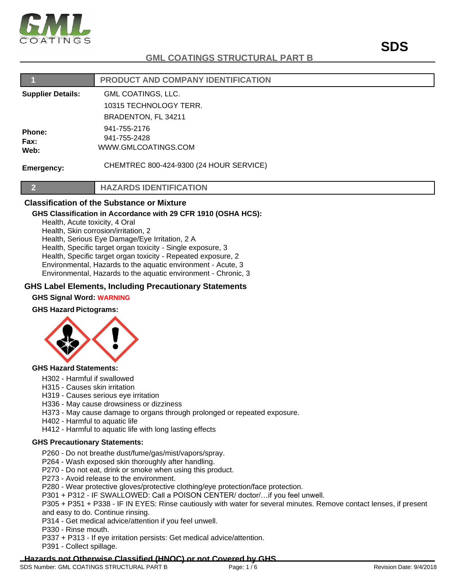

|                          | PRODUCT AND COMPANY IDENTIFICATION                  |
|--------------------------|-----------------------------------------------------|
| <b>Supplier Details:</b> | <b>GML COATINGS, LLC.</b>                           |
|                          | 10315 TECHNOLOGY TERR.                              |
|                          | BRADENTON, FL 34211                                 |
| Phone:<br>Fax:<br>Web:   | 941-755-2176<br>941-755-2428<br>WWW.GMLCOATINGS.COM |
| Emergency:               | CHEMTREC 800-424-9300 (24 HOUR SERVICE)             |
|                          | <b>HAZARDS IDENTIFICATION</b>                       |
| <u>_</u>                 |                                                     |

## **Classification of the Substance or Mixture**

## **GHS Classification in Accordance with 29 CFR 1910 (OSHA HCS):**

Health, Acute toxicity, 4 Oral Health, Skin corrosion/irritation, 2 Health, Serious Eye Damage/Eye Irritation, 2 A Health, Specific target organ toxicity - Single exposure, 3 Health, Specific target organ toxicity - Repeated exposure, 2 Environmental, Hazards to the aquatic environment - Acute, 3

Environmental, Hazards to the aquatic environment - Chronic, 3

## **GHS Label Elements, Including Precautionary Statements**

## **GHS Signal Word: WARNING**

## **GHS Hazard Pictograms:**



#### **GHS Hazard Statements:**

- H302 Harmful if swallowed
- H315 Causes skin irritation
- H319 Causes serious eye irritation
- H336 May cause drowsiness or dizziness
- H373 May cause damage to organs through prolonged or repeated exposure.
- H402 Harmful to aquatic life
- H412 Harmful to aquatic life with long lasting effects

## **GHS Precautionary Statements:**

- P260 Do not breathe dust/fume/gas/mist/vapors/spray.
- P264 Wash exposed skin thoroughly after handling.
- P270 Do not eat, drink or smoke when using this product.
- P273 Avoid release to the environment.
- P280 Wear protective gloves/protective clothing/eye protection/face protection.
- P301 + P312 IF SWALLOWED: Call a POISON CENTER/ doctor/…if you feel unwell.

P305 + P351 + P338 - IF IN EYES: Rinse cautiously with water for several minutes. Remove contact lenses, if present and easy to do. Continue rinsing.

P314 - Get medical advice/attention if you feel unwell.

P330 - Rinse mouth.

P337 + P313 - If eye irritation persists: Get medical advice/attention.

P391 - Collect spillage.

## **Hazards not Otherwise Classified (HNOC) or not Covered by GHS**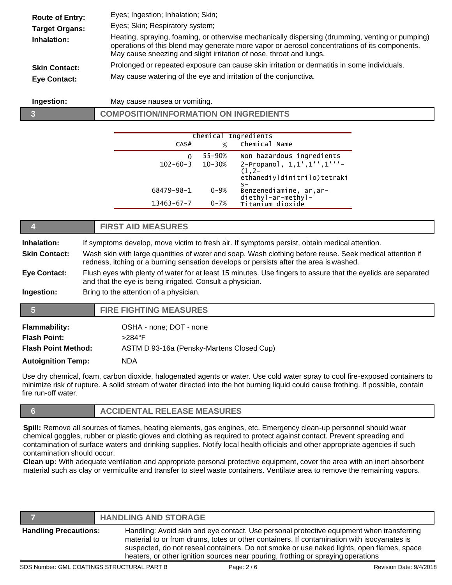| <b>Route of Entry:</b> | Eyes; Ingestion; Inhalation; Skin;                                                                                                                                                                                                                                      |
|------------------------|-------------------------------------------------------------------------------------------------------------------------------------------------------------------------------------------------------------------------------------------------------------------------|
| <b>Target Organs:</b>  | Eyes; Skin; Respiratory system;                                                                                                                                                                                                                                         |
| Inhalation:            | Heating, spraying, foaming, or otherwise mechanically dispersing (drumming, venting or pumping)<br>operations of this blend may generate more vapor or aerosol concentrations of its components.<br>May cause sneezing and slight irritation of nose, throat and lungs. |
| <b>Skin Contact:</b>   | Prolonged or repeated exposure can cause skin irritation or dermatitis in some individuals.                                                                                                                                                                             |
| Eye Contact:           | May cause watering of the eye and irritation of the conjunctiva.                                                                                                                                                                                                        |

**Ingestion:** May cause nausea or vomiting.

**3 COMPOSITION/INFORMATION ON INGREDIENTS**

|                  |            | Chemical Ingredients                                                           |
|------------------|------------|--------------------------------------------------------------------------------|
| CAS#             | %          | Chemical Name                                                                  |
| 0                | $55 - 90%$ | Non hazardous ingredients                                                      |
| $102 - 60 - 3$   | $10 - 30%$ | 2-Propanol, 1,1',1'',1'''-<br>$(1, 2 -$<br>ethanediyldinitrilo)tetraki<br>$S-$ |
| 68479-98-1       | $0 - 9%$   | Benzenediamine, ar, ar-                                                        |
| $13463 - 67 - 7$ | $0 - 7%$   | diethyl-ar-methyl-<br>Titanium dioxide                                         |

|                            |                                                                                                                                                                                                    | <b>FIRST AID MEASURES</b>                 |  |
|----------------------------|----------------------------------------------------------------------------------------------------------------------------------------------------------------------------------------------------|-------------------------------------------|--|
| Inhalation:                | If symptoms develop, move victim to fresh air. If symptoms persist, obtain medical attention.                                                                                                      |                                           |  |
| <b>Skin Contact:</b>       | Wash skin with large quantities of water and soap. Wash clothing before reuse. Seek medical attention if<br>redness, itching or a burning sensation develops or persists after the area is washed. |                                           |  |
| <b>Eye Contact:</b>        | Flush eyes with plenty of water for at least 15 minutes. Use fingers to assure that the eyelids are separated<br>and that the eye is being irrigated. Consult a physician.                         |                                           |  |
| Ingestion:                 | Bring to the attention of a physician.                                                                                                                                                             |                                           |  |
| 15)                        |                                                                                                                                                                                                    | <b>FIRE FIGHTING MEASURES</b>             |  |
| <b>Flammability:</b>       |                                                                                                                                                                                                    | OSHA - none; DOT - none                   |  |
| <b>Flash Point:</b>        |                                                                                                                                                                                                    | $>284^{\circ}$ F                          |  |
| <b>Flash Point Method:</b> |                                                                                                                                                                                                    | ASTM D 93-16a (Pensky-Martens Closed Cup) |  |
|                            | <b>Autoignition Temp:</b><br><b>NDA</b>                                                                                                                                                            |                                           |  |

Use dry chemical, foam, carbon dioxide, halogenated agents or water. Use cold water spray to cool fire-exposed containers to minimize risk of rupture. A solid stream of water directed into the hot burning liquid could cause frothing. If possible, contain fire run-off water.

**6 ACCIDENTAL RELEASE MEASURES**

**Spill:** Remove all sources of flames, heating elements, gas engines, etc. Emergency clean-up personnel should wear chemical goggles, rubber or plastic gloves and clothing as required to protect against contact. Prevent spreading and contamination of surface waters and drinking supplies. Notify local health officials and other appropriate agencies if such contamination should occur.

**Clean up:** With adequate ventilation and appropriate personal protective equipment, cover the area with an inert absorbent material such as clay or vermiculite and transfer to steel waste containers. Ventilate area to remove the remaining vapors.

|                              | <b>HANDLING AND STORAGE</b>                                                                                                                                                                                                                                                                                                                                              |
|------------------------------|--------------------------------------------------------------------------------------------------------------------------------------------------------------------------------------------------------------------------------------------------------------------------------------------------------------------------------------------------------------------------|
| <b>Handling Precautions:</b> | Handling: Avoid skin and eye contact. Use personal protective equipment when transferring<br>material to or from drums, totes or other containers. If contamination with isocyanates is<br>suspected, do not reseal containers. Do not smoke or use naked lights, open flames, space<br>heaters, or other ignition sources near pouring, frothing or spraying operations |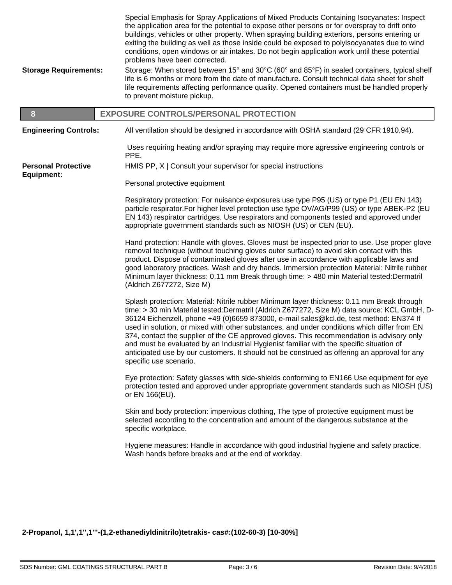| <b>Storage Requirements:</b>                    | Special Emphasis for Spray Applications of Mixed Products Containing Isocyanates: Inspect<br>the application area for the potential to expose other persons or for overspray to drift onto<br>buildings, vehicles or other property. When spraying building exteriors, persons entering or<br>exiting the building as well as those inside could be exposed to polyisocyanates due to wind<br>conditions, open windows or air intakes. Do not begin application work until these potential<br>problems have been corrected.<br>Storage: When stored between 15° and 30°C (60° and 85°F) in sealed containers, typical shelf<br>life is 6 months or more from the date of manufacture. Consult technical data sheet for shelf |
|-------------------------------------------------|------------------------------------------------------------------------------------------------------------------------------------------------------------------------------------------------------------------------------------------------------------------------------------------------------------------------------------------------------------------------------------------------------------------------------------------------------------------------------------------------------------------------------------------------------------------------------------------------------------------------------------------------------------------------------------------------------------------------------|
|                                                 | life requirements affecting performance quality. Opened containers must be handled properly<br>to prevent moisture pickup.                                                                                                                                                                                                                                                                                                                                                                                                                                                                                                                                                                                                   |
| 8                                               | <b>EXPOSURE CONTROLS/PERSONAL PROTECTION</b>                                                                                                                                                                                                                                                                                                                                                                                                                                                                                                                                                                                                                                                                                 |
| <b>Engineering Controls:</b>                    | All ventilation should be designed in accordance with OSHA standard (29 CFR 1910.94).                                                                                                                                                                                                                                                                                                                                                                                                                                                                                                                                                                                                                                        |
|                                                 | Uses requiring heating and/or spraying may require more agressive engineering controls or<br>PPE.                                                                                                                                                                                                                                                                                                                                                                                                                                                                                                                                                                                                                            |
| <b>Personal Protective</b><br><b>Equipment:</b> | HMIS PP, X   Consult your supervisor for special instructions                                                                                                                                                                                                                                                                                                                                                                                                                                                                                                                                                                                                                                                                |
|                                                 | Personal protective equipment                                                                                                                                                                                                                                                                                                                                                                                                                                                                                                                                                                                                                                                                                                |
|                                                 | Respiratory protection: For nuisance exposures use type P95 (US) or type P1 (EU EN 143)<br>particle respirator.For higher level protection use type OV/AG/P99 (US) or type ABEK-P2 (EU<br>EN 143) respirator cartridges. Use respirators and components tested and approved under<br>appropriate government standards such as NIOSH (US) or CEN (EU).                                                                                                                                                                                                                                                                                                                                                                        |
|                                                 | Hand protection: Handle with gloves. Gloves must be inspected prior to use. Use proper glove<br>removal technique (without touching gloves outer surface) to avoid skin contact with this<br>product. Dispose of contaminated gloves after use in accordance with applicable laws and<br>good laboratory practices. Wash and dry hands. Immersion protection Material: Nitrile rubber<br>Minimum layer thickness: 0.11 mm Break through time: > 480 min Material tested: Dermatril<br>(Aldrich Z677272, Size M)                                                                                                                                                                                                              |
|                                                 | Splash protection: Material: Nitrile rubber Minimum layer thickness: 0.11 mm Break through<br>time: > 30 min Material tested: Dermatril (Aldrich Z677272, Size M) data source: KCL GmbH, D-<br>36124 Eichenzell, phone +49 (0)6659 873000, e-mail sales@kcl.de, test method: EN374 If<br>used in solution, or mixed with other substances, and under conditions which differ from EN<br>374, contact the supplier of the CE approved gloves. This recommendation is advisory only<br>and must be evaluated by an Industrial Hygienist familiar with the specific situation of<br>anticipated use by our customers. It should not be construed as offering an approval for any<br>specific use scenario.                      |
|                                                 | Eye protection: Safety glasses with side-shields conforming to EN166 Use equipment for eye<br>protection tested and approved under appropriate government standards such as NIOSH (US)<br>or EN 166(EU).                                                                                                                                                                                                                                                                                                                                                                                                                                                                                                                     |
|                                                 | Skin and body protection: impervious clothing, The type of protective equipment must be<br>selected according to the concentration and amount of the dangerous substance at the<br>specific workplace.                                                                                                                                                                                                                                                                                                                                                                                                                                                                                                                       |
|                                                 | Hygiene measures: Handle in accordance with good industrial hygiene and safety practice.<br>Wash hands before breaks and at the end of workday.                                                                                                                                                                                                                                                                                                                                                                                                                                                                                                                                                                              |

**2-Propanol, 1,1',1'',1'''-(1,2-ethanediyldinitrilo)tetrakis- cas#:(102-60-3) [10-30%]**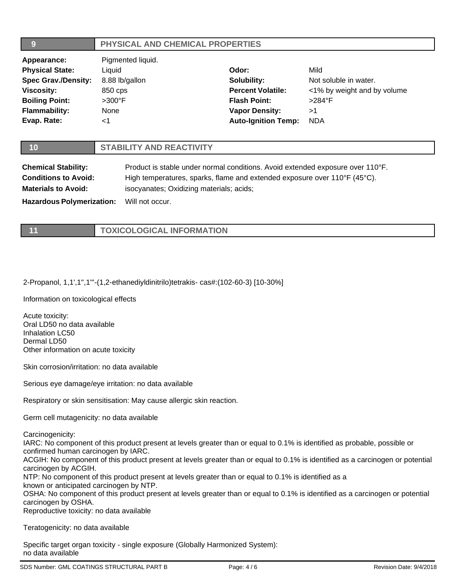| 9                                | PHYSICAL AND CHEMICAL PROPERTIES                                               |                                          |                             |  |
|----------------------------------|--------------------------------------------------------------------------------|------------------------------------------|-----------------------------|--|
| Appearance:                      | Pigmented liquid.                                                              |                                          |                             |  |
| <b>Physical State:</b>           | Liquid                                                                         | Odor:                                    | Mild                        |  |
| <b>Spec Grav./Density:</b>       | 8.88 lb/gallon                                                                 | Solubility:                              | Not soluble in water.       |  |
| <b>Viscosity:</b>                | 850 cps                                                                        | <b>Percent Volatile:</b>                 | <1% by weight and by volume |  |
| <b>Boiling Point:</b>            | $>300^\circ$ F                                                                 | <b>Flash Point:</b>                      | $>284^{\circ}$ F            |  |
| <b>Flammability:</b>             | None                                                                           | <b>Vapor Density:</b>                    | >1                          |  |
| Evap. Rate:                      | $<$ 1                                                                          | <b>Auto-Ignition Temp:</b>               | <b>NDA</b>                  |  |
|                                  |                                                                                |                                          |                             |  |
| 10                               | <b>STABILITY AND REACTIVITY</b>                                                |                                          |                             |  |
| <b>Chemical Stability:</b>       | Product is stable under normal conditions. Avoid extended exposure over 110°F. |                                          |                             |  |
| <b>Conditions to Avoid:</b>      | High temperatures, sparks, flame and extended exposure over 110°F (45°C).      |                                          |                             |  |
| <b>Materials to Avoid:</b>       |                                                                                | isocyanates; Oxidizing materials; acids; |                             |  |
| <b>Hazardous Polymerization:</b> | Will not occur.                                                                |                                          |                             |  |

| <b>TOXICOLOGICAL INFORMATION</b> |
|----------------------------------|

# 2-Propanol, 1,1',1'',1'''-(1,2-ethanediyldinitrilo)tetrakis- cas#:(102-60-3) [10-30%]

Information on toxicological effects

Acute toxicity: Oral LD50 no data available Inhalation LC50 Dermal LD50 Other information on acute toxicity

Skin corrosion/irritation: no data available

Serious eye damage/eye irritation: no data available

Respiratory or skin sensitisation: May cause allergic skin reaction.

Germ cell mutagenicity: no data available

Carcinogenicity:

IARC: No component of this product present at levels greater than or equal to 0.1% is identified as probable, possible or confirmed human carcinogen by IARC.

ACGIH: No component of this product present at levels greater than or equal to 0.1% is identified as a carcinogen or potential carcinogen by ACGIH.

NTP: No component of this product present at levels greater than or equal to 0.1% is identified as a known or anticipated carcinogen by NTP.

OSHA: No component of this product present at levels greater than or equal to 0.1% is identified as a carcinogen or potential carcinogen by OSHA.

Reproductive toxicity: no data available

Teratogenicity: no data available

Specific target organ toxicity - single exposure (Globally Harmonized System): no data available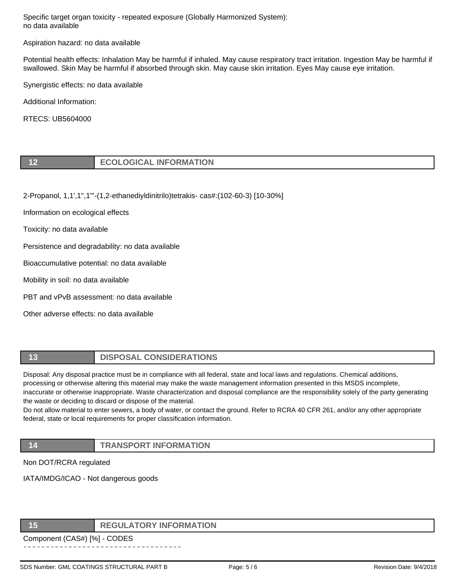Specific target organ toxicity - repeated exposure (Globally Harmonized System): no data available

Aspiration hazard: no data available

Potential health effects: Inhalation May be harmful if inhaled. May cause respiratory tract irritation. Ingestion May be harmful if swallowed. Skin May be harmful if absorbed through skin. May cause skin irritation. Eyes May cause eye irritation.

Synergistic effects: no data available

Additional Information:

RTECS: UB5604000

|  | <b>ECOLOGICAL INFORMATION</b> |
|--|-------------------------------|
|--|-------------------------------|

2-Propanol, 1,1',1'',1'''-(1,2-ethanediyldinitrilo)tetrakis- cas#:(102-60-3) [10-30%]

Information on ecological effects

Toxicity: no data available

Persistence and degradability: no data available

Bioaccumulative potential: no data available

Mobility in soil: no data available

PBT and vPvB assessment: no data available

Other adverse effects: no data available

## **13 DISPOSAL CONSIDERATIONS**

Disposal: Any disposal practice must be in compliance with all federal, state and local laws and regulations. Chemical additions, processing or otherwise altering this material may make the waste management information presented in this MSDS incomplete, inaccurate or otherwise inappropriate. Waste characterization and disposal compliance are the responsibility solely of the party generating the waste or deciding to discard or dispose of the material.

Do not allow material to enter sewers, a body of water, or contact the ground. Refer to RCRA 40 CFR 261, and/or any other appropriate federal, state or local requirements for proper classification information.

# **14 TRANSPORT INFORMATION**

Non DOT/RCRA regulated

IATA/IMDG/ICAO - Not dangerous goods

## **15 REGULATORY INFORMATION**

Component (CAS#) [%] - CODES